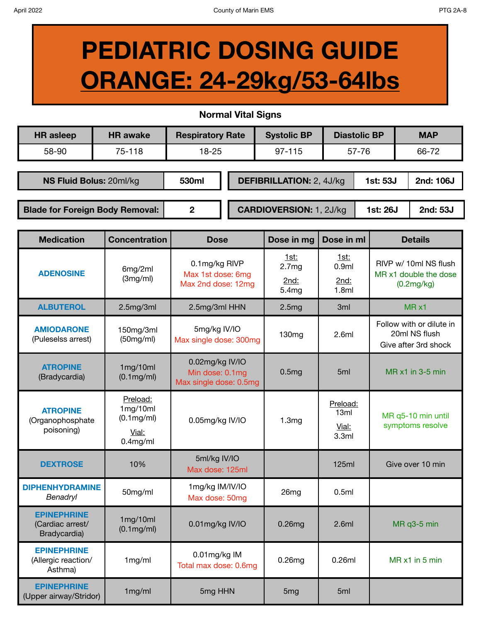Bradycardia)

**EPINEPHRINE**  (Allergic reaction/ Asthma)

**EPINEPHRINE**

## **PEDIATRIC DOSING GUIDE ORANGE: 24-29kg/53-64lbs**

**Normal Vital Signs**

| <b>Normal Vital Signs</b>                                      |                                                                      |                                                              |  |  |                                  |                                    |                     |                                                                   |          |  |  |  |
|----------------------------------------------------------------|----------------------------------------------------------------------|--------------------------------------------------------------|--|--|----------------------------------|------------------------------------|---------------------|-------------------------------------------------------------------|----------|--|--|--|
| <b>HR</b> asleep                                               | <b>HR</b> awake                                                      | <b>Respiratory Rate</b>                                      |  |  | <b>Systolic BP</b>               |                                    | <b>Diastolic BP</b> | <b>MAP</b>                                                        |          |  |  |  |
| 58-90                                                          | 75-118                                                               | $18 - 25$                                                    |  |  | 97-115                           |                                    | 57-76               | 66-72                                                             |          |  |  |  |
|                                                                |                                                                      |                                                              |  |  |                                  |                                    |                     |                                                                   |          |  |  |  |
| NS Fluid Bolus: 20ml/kg                                        |                                                                      | 530ml                                                        |  |  | <b>DEFIBRILLATION: 2, 4J/kg</b>  |                                    |                     | 1st: 53J<br>2nd: 106J                                             |          |  |  |  |
|                                                                |                                                                      | $\overline{2}$                                               |  |  |                                  |                                    |                     | 1st: 26J                                                          |          |  |  |  |
| <b>Blade for Foreign Body Removal:</b>                         |                                                                      |                                                              |  |  | <b>CARDIOVERSION: 1, 2J/kg</b>   |                                    |                     |                                                                   | 2nd: 53J |  |  |  |
| <b>Medication</b>                                              | <b>Concentration</b>                                                 | <b>Dose</b>                                                  |  |  | Dose in mg                       | Dose in ml                         | <b>Details</b>      |                                                                   |          |  |  |  |
| <b>ADENOSINE</b>                                               | 6mg/2ml                                                              | 0.1mg/kg RIVP<br>Max 1st dose: 6mg<br>Max 2nd dose: 12mg     |  |  | <u>1st:</u><br>2.7 <sub>mg</sub> | <u>1st:</u><br>0.9ml               |                     | RIVP w/ 10ml NS flush<br>MR x1 double the dose<br>(0.2mg/kg)      |          |  |  |  |
|                                                                | (3mg/ml)                                                             |                                                              |  |  | 2nd:<br>5.4mg                    | 2nd:<br>1.8ml                      |                     |                                                                   |          |  |  |  |
| <b>ALBUTEROL</b>                                               | 2.5mg/3ml                                                            | 2.5mg/3ml HHN                                                |  |  | 2.5mg                            | 3ml                                |                     | MR x1                                                             |          |  |  |  |
| <b>AMIODARONE</b><br>(Puleselss arrest)                        | 150mg/3ml<br>(50mg/ml)                                               | 5mg/kg IV/IO<br>Max single dose: 300mg                       |  |  | 130 <sub>mg</sub>                | 2.6ml                              |                     | Follow with or dilute in<br>20ml NS flush<br>Give after 3rd shock |          |  |  |  |
| <b>ATROPINE</b><br>(Bradycardia)                               | 1mg/10ml<br>$(0.1 \text{mg/ml})$                                     | 0.02mg/kg IV/IO<br>Min dose: 0.1mg<br>Max single dose: 0.5mg |  |  | 0.5mg                            | 5 <sub>ml</sub>                    |                     | MR x1 in 3-5 min                                                  |          |  |  |  |
| <b>ATROPINE</b><br>(Organophosphate<br>poisoning)              | Preload:<br>1mg/10ml<br>$(0.1 \text{mg/ml})$<br>Vial:<br>$0.4$ mg/ml | 0.05mg/kg IV/IO                                              |  |  | 1.3mg                            | Preload:<br>13ml<br>Vial:<br>3.3ml |                     | MR q5-10 min until<br>symptoms resolve                            |          |  |  |  |
| <b>DEXTROSE</b>                                                | 10%                                                                  | 5ml/kg IV/IO<br>Max dose: 125ml                              |  |  |                                  | <b>125ml</b>                       |                     | Give over 10 min                                                  |          |  |  |  |
| <b>DIPHENHYDRAMINE</b><br>Benadryl                             | 50mg/ml                                                              | 1mg/kg IM/IV/IO<br>Max dose: 50mg                            |  |  | 26mg                             | 0.5ml                              |                     |                                                                   |          |  |  |  |
| <b>EPINEPHRINE</b><br>(Cardiac arrest/<br>$D$ and $(constant)$ | 1mg/10ml<br>$(0.1 \text{mg/ml})$                                     | 0.01mg/kg IV/IO                                              |  |  | 0.26mg                           | 2.6ml                              |                     | MR q3-5 min                                                       |          |  |  |  |

Total max dose: 0.6mg 0.26mg 0.26mg 0.26ml MR x1 in 5 min

1mg/ml 0.01mg/kg IM

LE INCENTIFY CONSERVERT THING THE SMG HHN 5mg 5mg 5ml